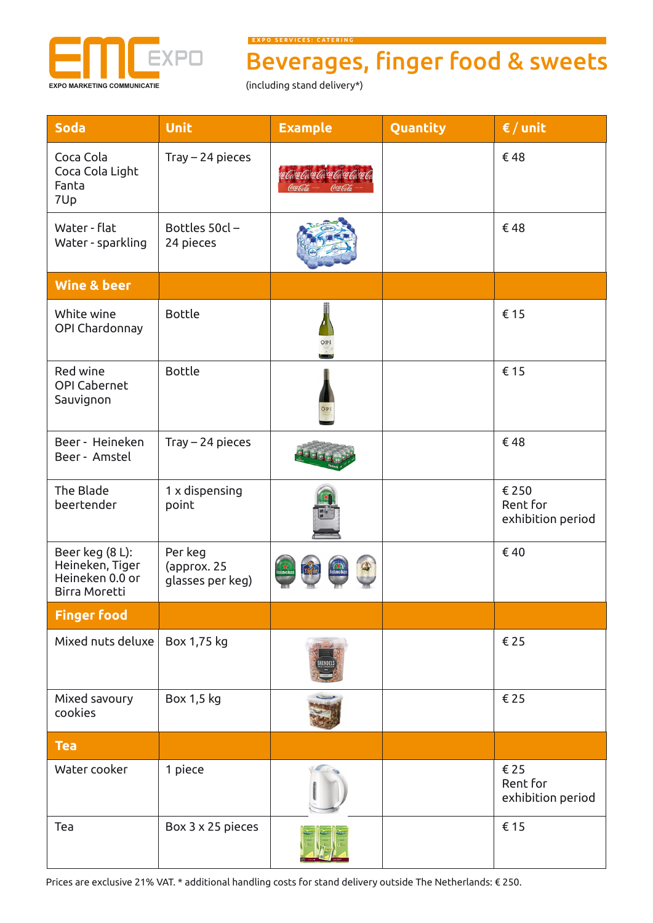

**E X P O S E R V I C E S : C A T E R I N G**

## Beverages, finger food & sweets

| <b>Soda</b>                                                            | <b>Unit</b>                                | <b>Example</b>                 | Quantity | $\epsilon$ / unit                      |
|------------------------------------------------------------------------|--------------------------------------------|--------------------------------|----------|----------------------------------------|
| Coca Cola<br>Coca Cola Light<br>Fanta<br>7Up                           | $Tray - 24$ pieces                         | ar Gara Gara Gara Gara Gara Ga |          | €48                                    |
| Water - flat<br>Water - sparkling                                      | Bottles 50cl-<br>24 pieces                 |                                |          | €48                                    |
| <b>Wine &amp; beer</b>                                                 |                                            |                                |          |                                        |
| White wine<br>OPI Chardonnay                                           | <b>Bottle</b>                              | OPI                            |          | € 15                                   |
| Red wine<br><b>OPI Cabernet</b><br>Sauvignon                           | <b>Bottle</b>                              | OP1                            |          | € 15                                   |
| Beer - Heineken<br>Beer - Amstel                                       | $Tray - 24$ pieces                         |                                |          | €48                                    |
| The Blade<br>beertender                                                | 1 x dispensing<br>point                    |                                |          | € 250<br>Rent for<br>exhibition period |
| Beer keg (8 L):<br>Heineken, Tiger<br>Heineken 0.0 or<br>Birra Moretti | Per keg<br>(approx. 25<br>glasses per keg) |                                |          | €40                                    |
| <b>Finger food</b>                                                     |                                            |                                |          |                                        |
| Mixed nuts deluxe                                                      | Box 1,75 kg                                |                                |          | €25                                    |
| Mixed savoury<br>cookies                                               | Box 1,5 kg                                 |                                |          | € 25                                   |
| <b>Tea</b>                                                             |                                            |                                |          |                                        |
| Water cooker                                                           | 1 piece                                    |                                |          | €25<br>Rent for<br>exhibition period   |
| Tea                                                                    | Box 3 x 25 pieces                          |                                |          | € 15                                   |

Prices are exclusive 21% VAT. \* additional handling costs for stand delivery outside The Netherlands: € 250.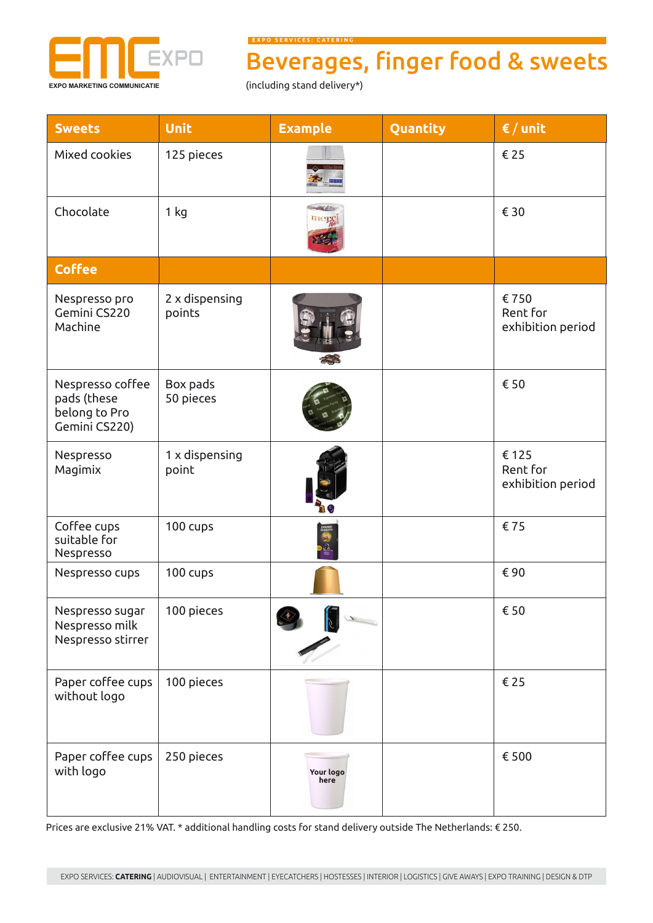

**E X P O S E R V I C E S : C A T E R I N G**

## Beverages, finger food & sweets

| <b>Sweets</b>                                                     | <b>Unit</b>              | <b>Example</b>    | Quantity | $\epsilon$ / unit                      |
|-------------------------------------------------------------------|--------------------------|-------------------|----------|----------------------------------------|
| Mixed cookies                                                     | 125 pieces               |                   |          | € 25                                   |
| Chocolate                                                         | 1 kg                     |                   |          | € 30                                   |
| <b>Coffee</b>                                                     |                          |                   |          |                                        |
| Nespresso pro<br>Gemini CS220<br>Machine                          | 2 x dispensing<br>points |                   |          | €750<br>Rent for<br>exhibition period  |
| Nespresso coffee<br>pads (these<br>belong to Pro<br>Gemini CS220) | Box pads<br>50 pieces    |                   |          | € 50                                   |
| Nespresso<br>Magimix                                              | 1 x dispensing<br>point  |                   |          | € 125<br>Rent for<br>exhibition period |
| Coffee cups<br>suitable for<br>Nespresso                          | 100 cups                 |                   |          | €75                                    |
| Nespresso cups                                                    | 100 cups                 |                   |          | €90                                    |
| Nespresso sugar<br>Nespresso milk<br>Nespresso stirrer            | 100 pieces               | $\mathcal{R}$     |          | € 50                                   |
| Paper coffee cups<br>without logo                                 | 100 pieces               |                   |          | €25                                    |
| Paper coffee cups<br>with logo                                    | 250 pieces               | Your logo<br>here |          | € 500                                  |

Prices are exclusive 21% VAT. \* additional handling costs for stand delivery outside The Netherlands: € 250.